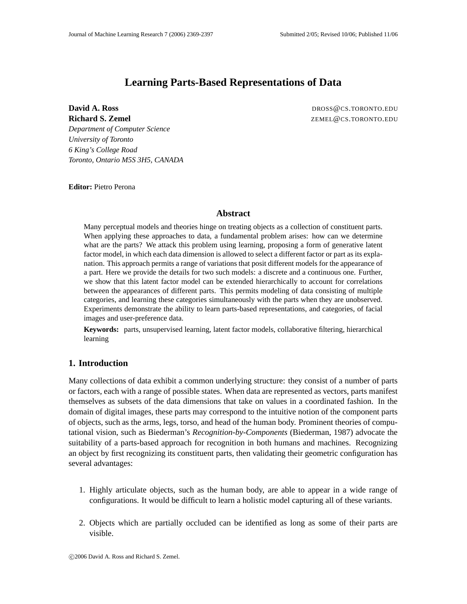# **Learning Parts-Based Representations of Data**

**David A. Ross DROSS DROSS DROSS DROSS DROSS DROSS DROSS DROSS DROSS DROSS DROSS DROSS DROSS DROSS DROSS DROSS DROSS DROSS DROSS DROSS DROSS DROSS DROSS DROSS DROSS DROSS Richard S. Zemel** ZEMEL@CS.TORONTO.EDU

*Department of Computer Science University of Toronto 6 King's College Road Toronto, Ontario M5S 3H5, CANADA*

**Editor:** Pietro Perona

# **Abstract**

Many perceptual models and theories hinge on treating objects as a collection of constituent parts. When applying these approaches to data, a fundamental problem arises: how can we determine what are the parts? We attack this problem using learning, proposing a form of generative latent factor model, in which each data dimension is allowed to select a different factor or part as its explanation. This approach permits a range of variations that posit different models for the appearance of a part. Here we provide the details for two such models: a discrete and a continuous one. Further, we show that this latent factor model can be extended hierarchically to account for correlations between the appearances of different parts. This permits modeling of data consisting of multiple categories, and learning these categories simultaneously with the parts when they are unobserved. Experiments demonstrate the ability to learn parts-based representations, and categories, of facial images and user-preference data.

**Keywords:** parts, unsupervised learning, latent factor models, collaborative filtering, hierarchical learning

# **1. Introduction**

Many collections of data exhibit a common underlying structure: they consist of a number of parts or factors, each with a range of possible states. When data are represented as vectors, parts manifest themselves as subsets of the data dimensions that take on values in a coordinated fashion. In the domain of digital images, these parts may correspond to the intuitive notion of the component parts of objects, such as the arms, legs, torso, and head of the human body. Prominent theories of computational vision, such as Biederman's *Recognition-by-Components* (Biederman, 1987) advocate the suitability of a parts-based approach for recognition in both humans and machines. Recognizing an object by first recognizing its constituent parts, then validating their geometric configuration has several advantages:

- 1. Highly articulate objects, such as the human body, are able to appear in a wide range of configurations. It would be difficult to learn a holistic model capturing all of these variants.
- 2. Objects which are partially occluded can be identified as long as some of their parts are visible.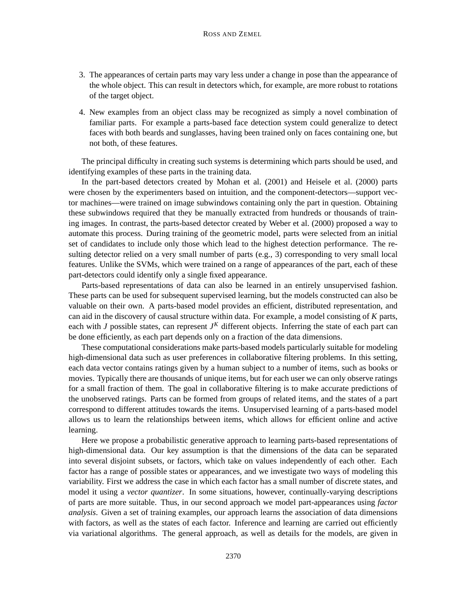- 3. The appearances of certain parts may vary less under a change in pose than the appearance of the whole object. This can result in detectors which, for example, are more robust to rotations of the target object.
- 4. New examples from an object class may be recognized as simply a novel combination of familiar parts. For example a parts-based face detection system could generalize to detect faces with both beards and sunglasses, having been trained only on faces containing one, but not both, of these features.

The principal difficulty in creating such systems is determining which parts should be used, and identifying examples of these parts in the training data.

In the part-based detectors created by Mohan et al. (2001) and Heisele et al. (2000) parts were chosen by the experimenters based on intuition, and the component-detectors—support vector machines—were trained on image subwindows containing only the part in question. Obtaining these subwindows required that they be manually extracted from hundreds or thousands of training images. In contrast, the parts-based detector created by Weber et al. (2000) proposed a way to automate this process. During training of the geometric model, parts were selected from an initial set of candidates to include only those which lead to the highest detection performance. The resulting detector relied on a very small number of parts (e.g., 3) corresponding to very small local features. Unlike the SVMs, which were trained on a range of appearances of the part, each of these part-detectors could identify only a single fixed appearance.

Parts-based representations of data can also be learned in an entirely unsupervised fashion. These parts can be used for subsequent supervised learning, but the models constructed can also be valuable on their own. A parts-based model provides an efficient, distributed representation, and can aid in the discovery of causal structure within data. For example, a model consisting of *K* parts, each with *J* possible states, can represent *J <sup>K</sup>* different objects. Inferring the state of each part can be done efficiently, as each part depends only on a fraction of the data dimensions.

These computational considerations make parts-based models particularly suitable for modeling high-dimensional data such as user preferences in collaborative filtering problems. In this setting, each data vector contains ratings given by a human subject to a number of items, such as books or movies. Typically there are thousands of unique items, but for each user we can only observe ratings for a small fraction of them. The goal in collaborative filtering is to make accurate predictions of the unobserved ratings. Parts can be formed from groups of related items, and the states of a part correspond to different attitudes towards the items. Unsupervised learning of a parts-based model allows us to learn the relationships between items, which allows for efficient online and active learning.

Here we propose a probabilistic generative approach to learning parts-based representations of high-dimensional data. Our key assumption is that the dimensions of the data can be separated into several disjoint subsets, or factors, which take on values independently of each other. Each factor has a range of possible states or appearances, and we investigate two ways of modeling this variability. First we address the case in which each factor has a small number of discrete states, and model it using a *vector quantizer*. In some situations, however, continually-varying descriptions of parts are more suitable. Thus, in our second approach we model part-appearances using *factor analysis*. Given a set of training examples, our approach learns the association of data dimensions with factors, as well as the states of each factor. Inference and learning are carried out efficiently via variational algorithms. The general approach, as well as details for the models, are given in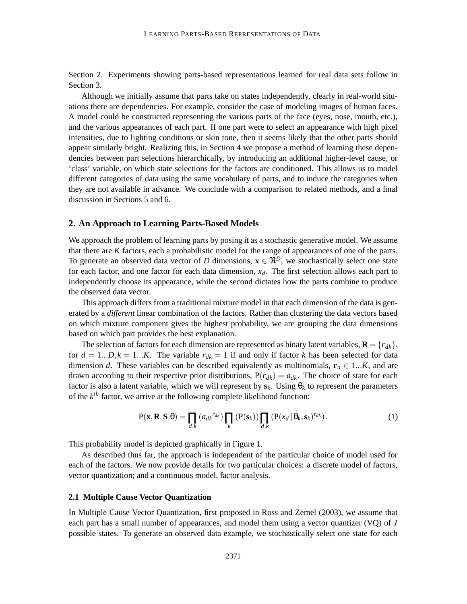Section 2. Experiments showing parts-based representations learned for real data sets follow in Section 3.

Although we initially assume that parts take on states independently, clearly in real-world situations there are dependencies. For example, consider the case of modeling images of human faces. A model could be constructed representing the various parts of the face (eyes, nose, mouth, etc.), and the various appearances of each part. If one part were to select an appearance with high pixel intensities, due to lighting conditions or skin tone, then it seems likely that the other parts should appear similarly bright. Realizing this, in Section 4 we propose a method of learning these dependencies between part selections hierarchically, by introducing an additional higher-level cause, or 'class' variable, on which state selections for the factors are conditioned. This allows us to model different categories of data using the same vocabulary of parts, and to induce the categories when they are not available in advance. We conclude with a comparison to related methods, and a final discussion in Sections 5 and 6.

## **2. An Approach to Learning Parts-Based Models**

We approach the problem of learning parts by posing it as a stochastic generative model. We assume that there are *K* factors, each a probabilistic model for the range of appearances of one of the parts. To generate an observed data vector of *D* dimensions,  $\mathbf{x} \in \mathbb{R}^D$ , we stochastically select one state for each factor, and one factor for each data dimension,  $x_d$ . The first selection allows each part to independently choose its appearance, while the second dictates how the parts combine to produce the observed data vector.

This approach differs from a traditional mixture model in that each dimension of the data is generated by a *different* linear combination of the factors. Rather than clustering the data vectors based on which mixture component gives the highest probability, we are grouping the data dimensions based on which part provides the best explanation.

The selection of factors for each dimension are represented as binary latent variables,  $\mathbf{R} = \{r_{dk}\}\,$ for  $d = 1...D, k = 1...K$ . The variable  $r_{dk} = 1$  if and only if factor *k* has been selected for data dimension *d*. These variables can be described equivalently as multinomials,  $\mathbf{r}_d \in 1...K$ , and are drawn according to their respective prior distributions,  $P(r_{dk}) = a_{dk}$ . The choice of state for each factor is also a latent variable, which we will represent by  $s_k$ . Using  $\theta_k$  to represent the parameters of the  $k^{th}$  factor, we arrive at the following complete likelihood function:

$$
P(\mathbf{x}, \mathbf{R}, \mathbf{S} | \theta) = \prod_{d,k} (a_{dk}^{r_{dk}}) \prod_{k} (P(\mathbf{s}_k)) \prod_{d,k} (P(x_d | \theta_k, \mathbf{s}_k)^{r_{dk}}).
$$
 (1)

This probability model is depicted graphically in Figure 1.

As described thus far, the approach is independent of the particular choice of model used for each of the factors. We now provide details for two particular choices: a discrete model of factors, vector quantization; and a continuous model, factor analysis.

#### **2.1 Multiple Cause Vector Quantization**

In Multiple Cause Vector Quantization, first proposed in Ross and Zemel (2003), we assume that each part has a small number of appearances, and model them using a vector quantizer (VQ) of *J* possible states. To generate an observed data example, we stochastically select one state for each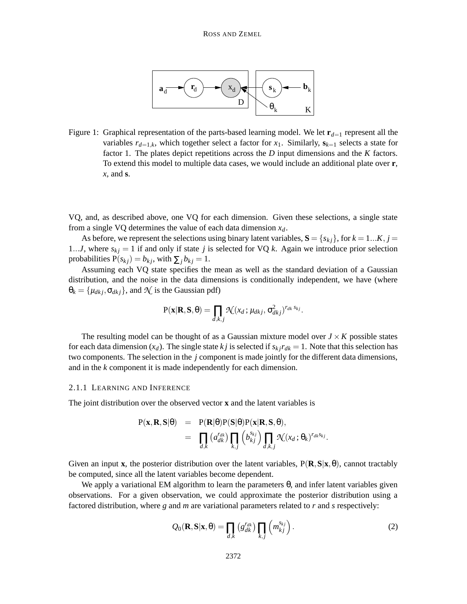

Figure 1: Graphical representation of the parts-based learning model. We let  $\mathbf{r}_{d=1}$  represent all the variables  $r_{d=1,k}$ , which together select a factor for  $x_1$ . Similarly,  $s_{k=1}$  selects a state for factor 1. The plates depict repetitions across the *D* input dimensions and the *K* factors. To extend this model to multiple data cases, we would include an additional plate over **r**, *x*, and **s**.

VQ, and, as described above, one VQ for each dimension. Given these selections, a single state from a single VQ determines the value of each data dimension *xd*.

As before, we represent the selections using binary latent variables,  $\mathbf{S} = \{s_{ki}\}\text{, for } k = 1...K, j = 1$ 1...*J*, where  $s_{kj} = 1$  if and only if state *j* is selected for VQ *k*. Again we introduce prior selection probabilities  $P(s_{kj}) = b_{kj}$ , with  $\sum_j b_{kj} = 1$ .

Assuming each VQ state specifies the mean as well as the standard deviation of a Gaussian distribution, and the noise in the data dimensions is conditionally independent, we have (where  $\theta_k = {\mu_{dkj}, \sigma_{dkj}}$ , and  $\mathcal{N}$  is the Gaussian pdf)

$$
P(\mathbf{x}|\mathbf{R},\mathbf{S},\theta) = \prod_{d,k,j} \mathcal{N}(x_d;\mu_{dkj},\sigma_{dkj}^2)^{r_{dk} s_{kj}}.
$$

The resulting model can be thought of as a Gaussian mixture model over  $J \times K$  possible states for each data dimension  $(x_d)$ . The single state *k j* is selected if  $s_k$  *j* $r_{dk} = 1$ . Note that this selection has two components. The selection in the *j* component is made jointly for the different data dimensions, and in the *k* component it is made independently for each dimension.

#### 2.1.1 LEARNING AND INFERENCE

The joint distribution over the observed vector **x** and the latent variables is

$$
P(\mathbf{x}, \mathbf{R}, \mathbf{S}|\theta) = P(\mathbf{R}|\theta)P(\mathbf{S}|\theta)P(\mathbf{x}|\mathbf{R}, \mathbf{S}, \theta),
$$
  
= 
$$
\prod_{d,k} (a_{dk}^{r_{dk}}) \prod_{k,j} (b_{kj}^{s_{kj}}) \prod_{d,k,j} \mathcal{N}(x_d; \theta_k)^{r_{dk}s_{kj}}.
$$

Given an input **x**, the posterior distribution over the latent variables,  $P(\mathbf{R}, \mathbf{S}|\mathbf{x}, \theta)$ , cannot tractably be computed, since all the latent variables become dependent.

We apply a variational EM algorithm to learn the parameters  $\theta$ , and infer latent variables given observations. For a given observation, we could approximate the posterior distribution using a factored distribution, where *g* and *m* are variational parameters related to *r* and *s* respectively:

$$
Q_0(\mathbf{R}, \mathbf{S}|\mathbf{x}, \theta) = \prod_{d,k} \left( g_{dk}^{r_{dk}} \right) \prod_{k,j} \left( m_{kj}^{s_{kj}} \right). \tag{2}
$$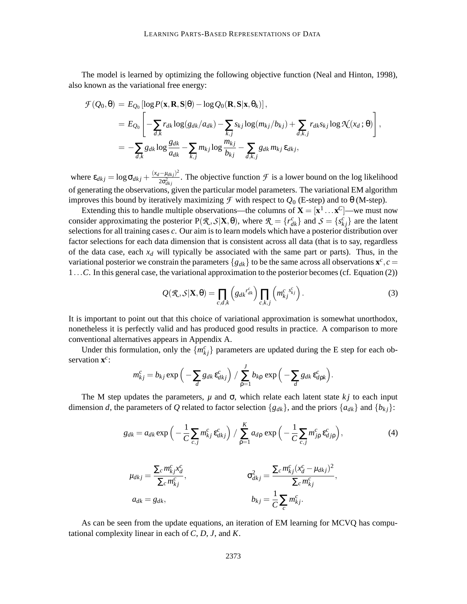The model is learned by optimizing the following objective function (Neal and Hinton, 1998), also known as the variational free energy:

$$
\mathcal{F}(Q_0, \theta) = E_{Q_0} [\log P(\mathbf{x}, \mathbf{R}, \mathbf{S} | \theta) - \log Q_0(\mathbf{R}, \mathbf{S} | \mathbf{x}, \theta_k)],
$$
\n
$$
= E_{Q_0} \left[ -\sum_{d,k} r_{dk} \log(g_{dk}/a_{dk}) - \sum_{k,j} s_{kj} \log(m_{kj}/b_{kj}) + \sum_{d,k,j} r_{dk} s_{kj} \log \mathcal{N}(x_d; \theta) \right],
$$
\n
$$
= -\sum_{d,k} g_{dk} \log \frac{g_{dk}}{a_{dk}} - \sum_{k,j} m_{kj} \log \frac{m_{kj}}{b_{kj}} - \sum_{d,k,j} g_{dk} m_{kj} \epsilon_{dkj},
$$

where  $\varepsilon_{dkj} = \log \sigma_{dkj} + \frac{(x_d - \mu_{dkj})^2}{2\sigma^2}$  $\frac{2\sigma_{dkj}^2}{2\sigma_{dkj}^2}$ . The objective function  $\mathcal F$  is a lower bound on the log likelihood of generating the observations, given the particular model parameters. The variational EM algorithm improves this bound by iteratively maximizing  $\mathcal F$  with respect to  $Q_0$  (E-step) and to  $\theta$  (M-step).

Extending this to handle multiple observations—the columns of  $X = [x^1 \dots x^C]$ —we must now consider approximating the posterior  $P(\mathcal{R}, \mathcal{S} | \mathbf{X}, \theta)$ , where  $\mathcal{R} = \{r_{dk}^c\}$  and  $\mathcal{S} = \{s_{kj}^c\}$  are the latent selections for all training cases *c*. Our aim is to learn models which have a posterior distribution over factor selections for each data dimension that is consistent across all data (that is to say, regardless of the data case, each  $x_d$  will typically be associated with the same part or parts). Thus, in the variational posterior we constrain the parameters  ${g_{dk}}$  to be the same across all observations  $\mathbf{x}^c$ ,  $c =$ 1...*C*. In this general case, the variational approximation to the posterior becomes(cf. Equation (2))

$$
Q(\mathcal{R}, \mathcal{S}|\mathbf{X}, \theta) = \prod_{c,d,k} \left( g_{dk}^{r_{dk}^c} \right) \prod_{c,k,j} \left( m_{kj}^{c}^{s_{kj}^c} \right). \tag{3}
$$

It is important to point out that this choice of variational approximation is somewhat unorthodox, nonetheless it is perfectly valid and has produced good results in practice. A comparison to more conventional alternatives appears in Appendix A.

Under this formulation, only the  ${m<sub>k<sub>j</sub> \atop k<sub>k<sub>j</sub>}</sub></sub>$  parameters are updated during the E step for each observation  $\mathbf{x}^c$ :

$$
m_{kj}^c = b_{kj} \exp\left(-\sum_d g_{dk} \varepsilon_{dkj}^c\right) / \sum_{\rho=1}^J b_{k\rho} \exp\left(-\sum_d g_{dk} \varepsilon_{d\rho k}^c\right).
$$

The M step updates the parameters,  $\mu$  and  $\sigma$ , which relate each latent state  $k \dot{j}$  to each input dimension *d*, the parameters of *Q* related to factor selection { $g_{dk}$ }, and the priors { $a_{dk}$ } and { $b_{kj}$ }:

$$
g_{dk} = a_{dk} \exp\left(-\frac{1}{C} \sum_{c,j} m_{kj}^c \varepsilon_{dkj}^c\right) / \sum_{\rho=1}^K a_{d\rho} \exp\left(-\frac{1}{C} \sum_{c,j} m_{j\rho}^c \varepsilon_{d,j\rho}^c\right),\tag{4}
$$

$$
\mu_{dkj} = \frac{\sum_c m_{kj}^c x_d^c}{\sum_c m_{kj}^c},
$$
\n
$$
\sigma_{dkj}^2 = \frac{\sum_c m_{kj}^c (x_d^c - \mu_{dkj})^2}{\sum_c m_{kj}^c},
$$
\n
$$
b_{kj} = \frac{1}{C} \sum_c m_{kj}^c.
$$

As can be seen from the update equations, an iteration of EM learning for MCVQ has computational complexity linear in each of *C*, *D*, *J*, and *K*.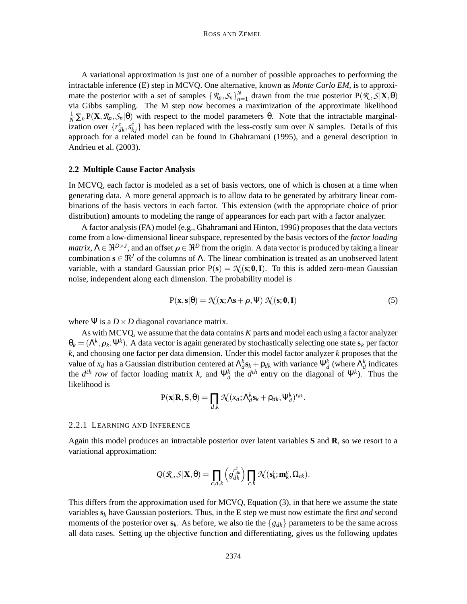A variational approximation is just one of a number of possible approaches to performing the intractable inference (E) step in MCVQ. One alternative, known as *Monte Carlo EM*, is to approximate the posterior with a set of samples  $\{\mathcal{R}_a, \mathcal{S}_n\}_{n=1}^N$  drawn from the true posterior  $P(\mathcal{R}, \mathcal{S} | \mathbf{X}, \theta)$ via Gibbs sampling. The M step now becomes a maximization of the approximate likelihood  $\frac{1}{N} \sum_{n} P(X, \mathcal{R}_n, \mathcal{S}_n | \theta)$  with respect to the model parameters  $\theta$ . Note that the intractable marginalization over  $\{r_{dk}^c, s_{kj}^c\}$  has been replaced with the less-costly sum over *N* samples. Details of this approach for a related model can be found in Ghahramani (1995), and a general description in Andrieu et al. (2003).

# **2.2 Multiple Cause Factor Analysis**

In MCVQ, each factor is modeled as a set of basis vectors, one of which is chosen at a time when generating data. A more general approach is to allow data to be generated by arbitrary linear combinations of the basis vectors in each factor. This extension (with the appropriate choice of prior distribution) amounts to modeling the range of appearances for each part with a factor analyzer.

A factor analysis (FA) model (e.g., Ghahramani and Hinton, 1996) proposes that the data vectors come from a low-dimensional linear subspace, represented by the basis vectors of the *factor loading*  $\textit{matrix}, \Lambda \in \Re^{D \times J},$  and an offset  $\rho \in \Re^D$  from the origin. A data vector is produced by taking a linear combination  $\mathbf{s} \in \mathbb{R}^J$  of the columns of  $\Lambda$ . The linear combination is treated as an unobserved latent variable, with a standard Gaussian prior  $P(s) = \mathcal{N}(s; 0, I)$ . To this is added zero-mean Gaussian noise, independent along each dimension. The probability model is

$$
P(\mathbf{x}, \mathbf{s}|\theta) = \mathcal{N}(\mathbf{x}; \Lambda \mathbf{s} + \boldsymbol{\rho}, \Psi) \mathcal{N}(\mathbf{s}; \mathbf{0}, \mathbf{I})
$$
 (5)

where  $\Psi$  is a  $D \times D$  diagonal covariance matrix.

As with MCVQ, we assume that the data contains *K* parts and model each using a factor analyzer  $\theta_k = (\Lambda^k, \rho_k, \Psi^k)$ . A data vector is again generated by stochastically selecting one state  $s_k$  per factor *k*, and choosing one factor per data dimension. Under this model factor analyzer *k* proposes that the value of  $x_d$  has a Gaussian distribution centered at  $\Lambda_d^k s_k + \rho_{dk}$  with variance  $\Psi_d^k$  (where  $\Lambda_d^k$  indicates the  $d^{th}$  row of factor loading matrix *k*, and  $\Psi_d^k$  the  $d^{th}$  entry on the diagonal of  $\Psi^k$ ). Thus the likelihood is

$$
P(\mathbf{x}|\mathbf{R},\mathbf{S},\theta) = \prod_{d,k} \mathcal{N}(x_d; \Lambda_d^k \mathbf{s}_k + \rho_{dk}, \Psi_d^k)^{r_{dk}}.
$$

#### 2.2.1 LEARNING AND INFERENCE

Again this model produces an intractable posterior over latent variables **S** and **R**, so we resort to a variational approximation:

$$
Q(\mathcal{R},\mathcal{S}|\mathbf{X},\theta) = \prod_{c,d,k} \left( g_{dk}^{r_{dk}^c} \right) \prod_{c,k} \mathcal{N}(\mathbf{s}_k^c;\mathbf{m}_k^c,\Omega_{ck}).
$$

This differs from the approximation used for MCVQ, Equation (3), in that here we assume the state variables **s***<sup>k</sup>* have Gaussian posteriors. Thus, in the E step we must now estimate the first *and* second moments of the posterior over  $\mathbf{s}_k$ . As before, we also tie the  $\{g_{dk}\}\$  parameters to be the same across all data cases. Setting up the objective function and differentiating, gives us the following updates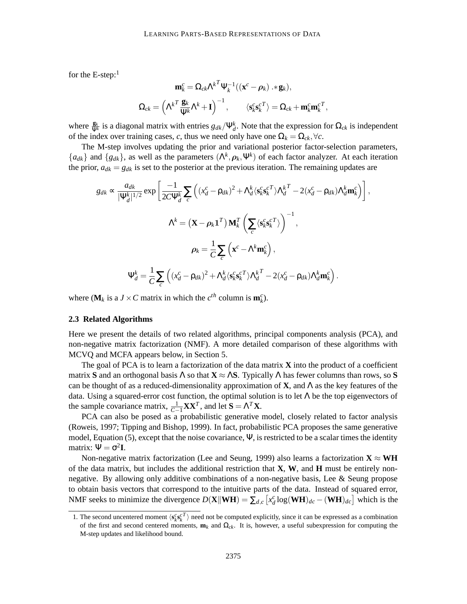for the E-step: $<sup>1</sup>$ </sup>

$$
\begin{aligned} \mathbf{m}^c_k &= \mathbf{\Omega}_{ck}\boldsymbol{\Lambda}^{k^T}\boldsymbol{\Psi}^{-1}_k((\mathbf{x}^c-\boldsymbol{\rho}_k)*\mathbf{g}_k),\\ \mathbf{\Omega}_{ck} &= \left(\boldsymbol{\Lambda}^{k^T}\frac{\mathbf{g}_k}{\boldsymbol{\Psi}^k}\boldsymbol{\Lambda}^k+\mathbf{I}\right)^{-1}, \qquad \langle \mathbf{s}^c_k\mathbf{s}^{c^T}_k\rangle = \mathbf{\Omega}_{ck}+\mathbf{m}^c_k\mathbf{m}^{c^T}_k, \end{aligned}
$$

where  $\frac{g_k}{\Psi^k}$  is a diagonal matrix with entries  $g_{dk}/\Psi_d^k$ . Note that the expression for  $\Omega_{ck}$  is independent of the index over training cases, *c*, thus we need only have one  $\Omega_k = \Omega_{ck}, \forall c$ .

The M-step involves updating the prior and variational posterior factor-selection parameters,  ${a_{dk}}$  and  ${g_{dk}}$ , as well as the parameters  $({\Lambda}^k, \rho_k, \Psi^k)$  of each factor analyzer. At each iteration the prior,  $a_{dk} = g_{dk}$  is set to the posterior at the previous iteration. The remaining updates are

$$
g_{dk} \propto \frac{a_{dk}}{|\Psi_d^k|^{1/2}} \exp\left[\frac{-1}{2C\Psi_d^k} \sum_c \left((x_d^c - \rho_{dk})^2 + \Lambda_d^k \langle \mathbf{s}_k^c \mathbf{s}_k^c{}^T \rangle \Lambda_d^{kT} - 2(x_d^c - \rho_{dk})\Lambda_d^k \mathbf{m}_k^c \right) \right],
$$
  

$$
\Lambda^k = (\mathbf{X} - \rho_k \mathbf{1}^T) \mathbf{M}_k^T \left(\sum_c \langle \mathbf{s}_k^c \mathbf{s}_k^c{}^T \rangle \right)^{-1},
$$
  

$$
\rho_k = \frac{1}{C} \sum_c \left(\mathbf{x}^c - \Lambda^k \mathbf{m}_k^c\right),
$$
  

$$
\Psi_d^k = \frac{1}{C} \sum_c \left((x_d^c - \rho_{dk})^2 + \Lambda_d^k \langle \mathbf{s}_k^c \mathbf{s}_k^c{}^T \rangle \Lambda_d^{kT} - 2(x_d^c - \rho_{dk})\Lambda_d^k \mathbf{m}_k^c\right).
$$

where  $(\mathbf{M}_k \text{ is a } J \times C \text{ matrix in which the } c^{th} \text{ column is } \mathbf{m}_k^c$ .

# **2.3 Related Algorithms**

Here we present the details of two related algorithms, principal components analysis (PCA), and non-negative matrix factorization (NMF). A more detailed comparison of these algorithms with MCVQ and MCFA appears below, in Section 5.

The goal of PCA is to learn a factorization of the data matrix **X** into the product of a coefficient matrix **S** and an orthogonal basis  $\Lambda$  so that  $\mathbf{X} \approx \Lambda \mathbf{S}$ . Typically  $\Lambda$  has fewer columns than rows, so **S** can be thought of as a reduced-dimensionality approximation of **X**, and  $\Lambda$  as the key features of the data. Using a squared-error cost function, the optimal solution is to let  $\Lambda$  be the top eigenvectors of the sample covariance matrix,  $\frac{1}{C-1}$ **XX**<sup>*T*</sup>, and let **S** =  $\Lambda^T$ **X**.

PCA can also be posed as a probabilistic generative model, closely related to factor analysis (Roweis, 1997; Tipping and Bishop, 1999). In fact, probabilistic PCA proposes the same generative model, Equation (5), except that the noise covariance,  $\Psi$ , is restricted to be a scalar times the identity matrix:  $\Psi = \sigma^2 I$ .

Non-negative matrix factorization (Lee and Seung, 1999) also learns a factorization  $X \approx WH$ of the data matrix, but includes the additional restriction that **X**, **W**, and **H** must be entirely nonnegative. By allowing only additive combinations of a non-negative basis, Lee & Seung propose to obtain basis vectors that correspond to the intuitive parts of the data. Instead of squared error, NMF seeks to minimize the divergence  $D(X||\mathbf{WH}) = \sum_{d,c} [x_d^c \log(\mathbf{WH})_{dc} - (\mathbf{WH})_{dc}]$  which is the

<sup>1.</sup> The second uncentered moment  $\langle s_k^c s_k^c^T \rangle$  need not be computed explicitly, since it can be expressed as a combination of the first and second centered moments,  $\mathbf{m}_k$  and  $\Omega_{ck}$ . It is, however, a useful subexpression for computing the M-step updates and likelihood bound.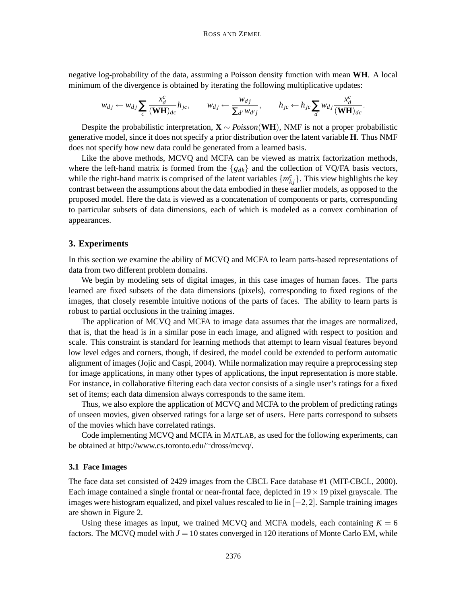negative log-probability of the data, assuming a Poisson density function with mean **WH**. A local minimum of the divergence is obtained by iterating the following multiplicative updates:

$$
w_{dj} \leftarrow w_{dj} \sum_{c} \frac{x_d^c}{(\mathbf{WH})_{dc}} h_{jc}, \qquad w_{dj} \leftarrow \frac{w_{dj}}{\sum_{d'} w_{d'j}}, \qquad h_{jc} \leftarrow h_{jc} \sum_{d} w_{dj} \frac{x_d^c}{(\mathbf{WH})_{dc}}.
$$

Despite the probabilistic interpretation, **X** ∼ *Poisson*(**WH**), NMF is not a proper probabilistic generative model, since it does not specify a prior distribution over the latent variable **H**. Thus NMF does not specify how new data could be generated from a learned basis.

Like the above methods, MCVQ and MCFA can be viewed as matrix factorization methods, where the left-hand matrix is formed from the {*gdk*} and the collection of VQ/FA basis vectors, while the right-hand matrix is comprised of the latent variables  $\{m_{kj}^c\}$ . This view highlights the key contrast between the assumptions about the data embodied in these earlier models, as opposed to the proposed model. Here the data is viewed as a concatenation of components or parts, corresponding to particular subsets of data dimensions, each of which is modeled as a convex combination of appearances.

# **3. Experiments**

In this section we examine the ability of MCVQ and MCFA to learn parts-based representations of data from two different problem domains.

We begin by modeling sets of digital images, in this case images of human faces. The parts learned are fixed subsets of the data dimensions (pixels), corresponding to fixed regions of the images, that closely resemble intuitive notions of the parts of faces. The ability to learn parts is robust to partial occlusions in the training images.

The application of MCVQ and MCFA to image data assumes that the images are normalized, that is, that the head is in a similar pose in each image, and aligned with respect to position and scale. This constraint is standard for learning methods that attempt to learn visual features beyond low level edges and corners, though, if desired, the model could be extended to perform automatic alignment of images (Jojic and Caspi, 2004). While normalization may require a preprocessing step for image applications, in many other types of applications, the input representation is more stable. For instance, in collaborative filtering each data vector consists of a single user's ratings for a fixed set of items; each data dimension always corresponds to the same item.

Thus, we also explore the application of MCVQ and MCFA to the problem of predicting ratings of unseen movies, given observed ratings for a large set of users. Here parts correspond to subsets of the movies which have correlated ratings.

Code implementing MCVQ and MCFA in MATLAB, as used for the following experiments, can be obtained at http://www.cs.toronto.edu/∼dross/mcvq/.

#### **3.1 Face Images**

The face data set consisted of 2429 images from the CBCL Face database #1 (MIT-CBCL, 2000). Each image contained a single frontal or near-frontal face, depicted in  $19 \times 19$  pixel grayscale. The images were histogram equalized, and pixel values rescaled to lie in  $[-2,2]$ . Sample training images are shown in Figure 2.

Using these images as input, we trained MCVQ and MCFA models, each containing  $K = 6$ factors. The MCVQ model with  $J = 10$  states converged in 120 iterations of Monte Carlo EM, while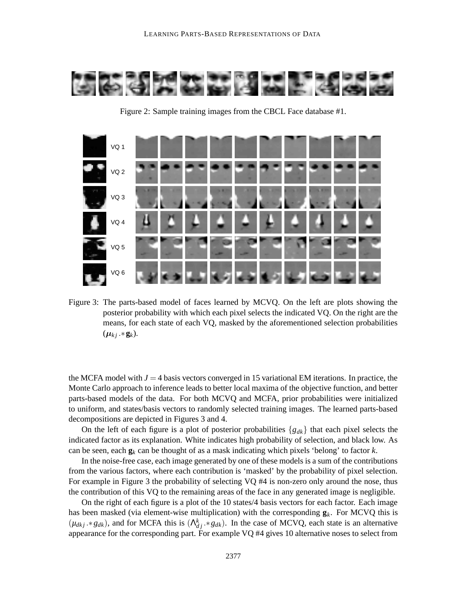

VQ 1 VQ 2 VQ 3 VQ 4 VQ 5 VQ 6

Figure 2: Sample training images from the CBCL Face database #1.

Figure 3: The parts-based model of faces learned by MCVQ. On the left are plots showing the posterior probability with which each pixel selects the indicated VQ. On the right are the means, for each state of each VQ, masked by the aforementioned selection probabilities  $(\mu_{kj}.*\mathbf{g}_k).$ 

the MCFA model with  $J = 4$  basis vectors converged in 15 variational EM iterations. In practice, the Monte Carlo approach to inference leads to better local maxima of the objective function, and better parts-based models of the data. For both MCVQ and MCFA, prior probabilities were initialized to uniform, and states/basis vectors to randomly selected training images. The learned parts-based decompositions are depicted in Figures 3 and 4.

On the left of each figure is a plot of posterior probabilities {*gdk*} that each pixel selects the indicated factor as its explanation. White indicates high probability of selection, and black low. As can be seen, each **g***<sup>k</sup>* can be thought of as a mask indicating which pixels 'belong' to factor *k*.

In the noise-free case, each image generated by one of these models is a sum of the contributions from the various factors, where each contribution is 'masked' by the probability of pixel selection. For example in Figure 3 the probability of selecting VQ #4 is non-zero only around the nose, thus the contribution of this VQ to the remaining areas of the face in any generated image is negligible.

On the right of each figure is a plot of the 10 states/4 basis vectors for each factor. Each image has been masked (via element-wise multiplication) with the corresponding  $g_k$ . For MCVQ this is  $(\mu_{dkj} \cdot * g_{dk})$ , and for MCFA this is  $(\Lambda_{dj}^k \cdot * g_{dk})$ . In the case of MCVQ, each state is an alternative appearance for the corresponding part. For example VQ #4 gives 10 alternative noses to select from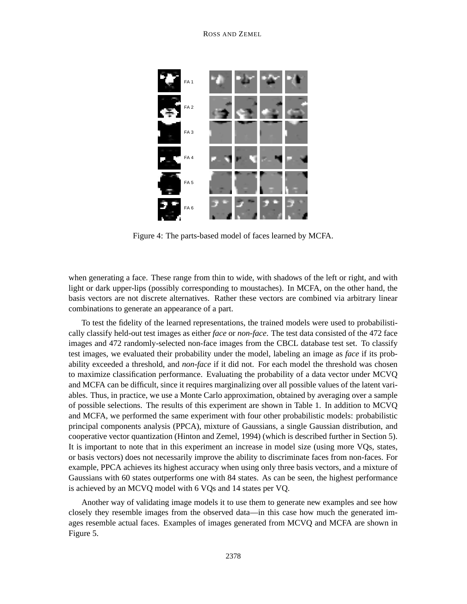

Figure 4: The parts-based model of faces learned by MCFA.

when generating a face. These range from thin to wide, with shadows of the left or right, and with light or dark upper-lips (possibly corresponding to moustaches). In MCFA, on the other hand, the basis vectors are not discrete alternatives. Rather these vectors are combined via arbitrary linear combinations to generate an appearance of a part.

To test the fidelity of the learned representations, the trained models were used to probabilistically classify held-out test images as either *face* or *non-face*. The test data consisted of the 472 face images and 472 randomly-selected non-face images from the CBCL database test set. To classify test images, we evaluated their probability under the model, labeling an image as *face* if its probability exceeded a threshold, and *non-face* if it did not. For each model the threshold was chosen to maximize classification performance. Evaluating the probability of a data vector under MCVQ and MCFA can be difficult, since it requires marginalizing over all possible values of the latent variables. Thus, in practice, we use a Monte Carlo approximation, obtained by averaging over a sample of possible selections. The results of this experiment are shown in Table 1. In addition to MCVQ and MCFA, we performed the same experiment with four other probabilistic models: probabilistic principal components analysis (PPCA), mixture of Gaussians, a single Gaussian distribution, and cooperative vector quantization (Hinton and Zemel, 1994) (which is described further in Section 5). It is important to note that in this experiment an increase in model size (using more VQs, states, or basis vectors) does not necessarily improve the ability to discriminate faces from non-faces. For example, PPCA achieves its highest accuracy when using only three basis vectors, and a mixture of Gaussians with 60 states outperforms one with 84 states. As can be seen, the highest performance is achieved by an MCVQ model with 6 VQs and 14 states per VQ.

Another way of validating image models it to use them to generate new examples and see how closely they resemble images from the observed data—in this case how much the generated images resemble actual faces. Examples of images generated from MCVQ and MCFA are shown in Figure 5.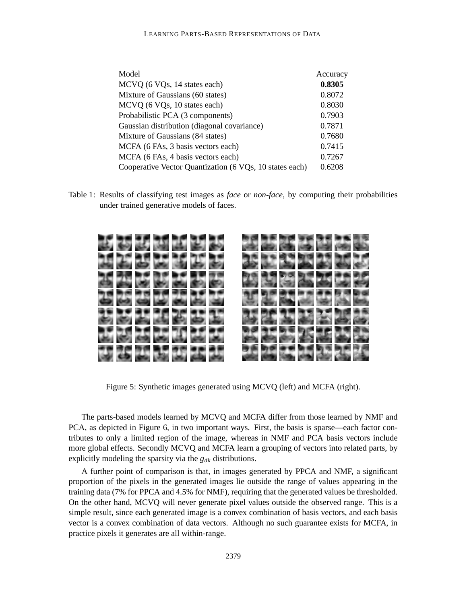| Model                                                   | Accuracy |
|---------------------------------------------------------|----------|
| MCVQ (6 VQs, 14 states each)                            | 0.8305   |
| Mixture of Gaussians (60 states)                        | 0.8072   |
| MCVQ (6 VQs, 10 states each)                            | 0.8030   |
| Probabilistic PCA (3 components)                        | 0.7903   |
| Gaussian distribution (diagonal covariance)             | 0.7871   |
| Mixture of Gaussians (84 states)                        | 0.7680   |
| MCFA (6 FAs, 3 basis vectors each)                      | 0.7415   |
| MCFA (6 FAs, 4 basis vectors each)                      | 0.7267   |
| Cooperative Vector Quantization (6 VQs, 10 states each) | 0.6208   |

Table 1: Results of classifying test images as *face* or *non-face*, by computing their probabilities under trained generative models of faces.



Figure 5: Synthetic images generated using MCVQ (left) and MCFA (right).

The parts-based models learned by MCVQ and MCFA differ from those learned by NMF and PCA, as depicted in Figure 6, in two important ways. First, the basis is sparse—each factor contributes to only a limited region of the image, whereas in NMF and PCA basis vectors include more global effects. Secondly MCVQ and MCFA learn a grouping of vectors into related parts, by explicitly modeling the sparsity via the *gdk* distributions.

A further point of comparison is that, in images generated by PPCA and NMF, a significant proportion of the pixels in the generated images lie outside the range of values appearing in the training data (7% for PPCA and 4.5% for NMF), requiring that the generated values be thresholded. On the other hand, MCVQ will never generate pixel values outside the observed range. This is a simple result, since each generated image is a convex combination of basis vectors, and each basis vector is a convex combination of data vectors. Although no such guarantee exists for MCFA, in practice pixels it generates are all within-range.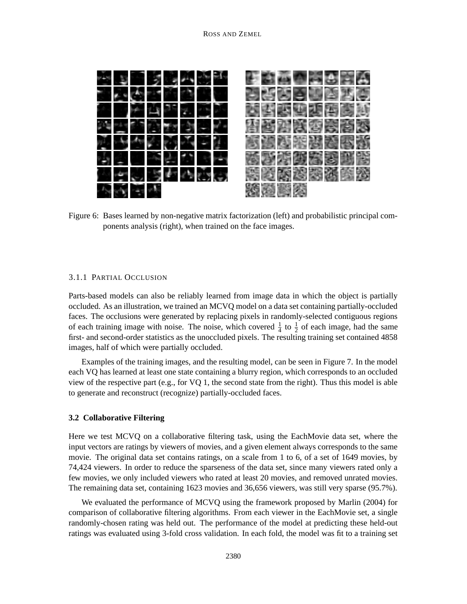

Figure 6: Bases learned by non-negative matrix factorization (left) and probabilistic principal components analysis (right), when trained on the face images.

## 3.1.1 PARTIAL OCCLUSION

Parts-based models can also be reliably learned from image data in which the object is partially occluded. As an illustration, we trained an MCVQ model on a data set containing partially-occluded faces. The occlusions were generated by replacing pixels in randomly-selected contiguous regions of each training image with noise. The noise, which covered  $\frac{1}{4}$  to  $\frac{1}{2}$  of each image, had the same first- and second-order statistics as the unoccluded pixels. The resulting training set contained 4858 images, half of which were partially occluded.

Examples of the training images, and the resulting model, can be seen in Figure 7. In the model each VQ has learned at least one state containing a blurry region, which corresponds to an occluded view of the respective part (e.g., for VQ 1, the second state from the right). Thus this model is able to generate and reconstruct (recognize) partially-occluded faces.

#### **3.2 Collaborative Filtering**

Here we test MCVQ on a collaborative filtering task, using the EachMovie data set, where the input vectors are ratings by viewers of movies, and a given element always corresponds to the same movie. The original data set contains ratings, on a scale from 1 to 6, of a set of 1649 movies, by 74,424 viewers. In order to reduce the sparseness of the data set, since many viewers rated only a few movies, we only included viewers who rated at least 20 movies, and removed unrated movies. The remaining data set, containing 1623 movies and 36,656 viewers, was still very sparse (95.7%).

We evaluated the performance of MCVQ using the framework proposed by Marlin (2004) for comparison of collaborative filtering algorithms. From each viewer in the EachMovie set, a single randomly-chosen rating was held out. The performance of the model at predicting these held-out ratings was evaluated using 3-fold cross validation. In each fold, the model was fit to a training set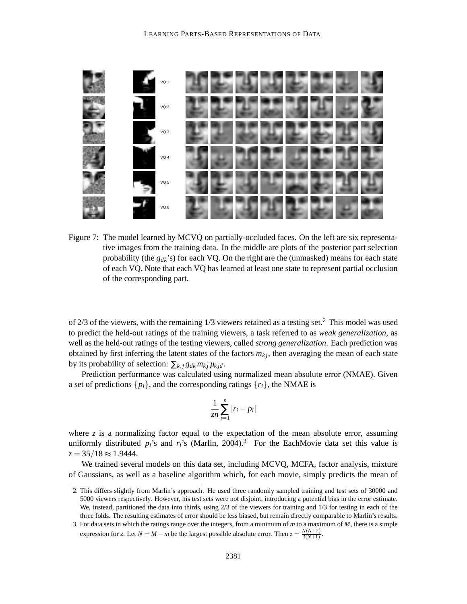

Figure 7: The model learned by MCVQ on partially-occluded faces. On the left are six representative images from the training data. In the middle are plots of the posterior part selection probability (the *gdk*'s) for each VQ. On the right are the (unmasked) means for each state of each VQ. Note that each VQ has learned at least one state to represent partial occlusion of the corresponding part.

of  $2/3$  of the viewers, with the remaining  $1/3$  viewers retained as a testing set.<sup>2</sup> This model was used to predict the held-out ratings of the training viewers, a task referred to as *weak generalization*, as well as the held-out ratings of the testing viewers, called *strong generalization*. Each prediction was obtained by first inferring the latent states of the factors  $m_{kj}$ , then averaging the mean of each state by its probability of selection:  $\sum_{k,j} g_{dk} m_{kj} \mu_{kj}$ .

Prediction performance was calculated using normalized mean absolute error (NMAE). Given a set of predictions  $\{p_i\}$ , and the corresponding ratings  $\{r_i\}$ , the NMAE is

$$
\frac{1}{z n} \sum_{i=1}^{n} |r_i - p_i|
$$

where  $z$  is a normalizing factor equal to the expectation of the mean absolute error, assuming uniformly distributed  $p_i$ 's and  $r_i$ 's (Marlin, 2004).<sup>3</sup> For the EachMovie data set this value is  $z = 35/18 \approx 1.9444$ .

We trained several models on this data set, including MCVQ, MCFA, factor analysis, mixture of Gaussians, as well as a baseline algorithm which, for each movie, simply predicts the mean of

<sup>2.</sup> This differs slightly from Marlin's approach. He used three randomly sampled training and test sets of 30000 and 5000 viewers respectively. However, his test sets were not disjoint, introducing a potential bias in the error estimate. We, instead, partitioned the data into thirds, using 2/3 of the viewers for training and 1/3 for testing in each of the three folds. The resulting estimates of error should be less biased, but remain directly comparable to Marlin's results.

<sup>3.</sup> For data sets in which the ratings range over the integers, from a minimum of *m* to a maximum of *M*, there is a simple expression for *z*. Let  $N = M - m$  be the largest possible absolute error. Then  $z = \frac{N(N+2)}{3(N+1)}$  $\frac{N(N+2)}{3(N+1)}$ .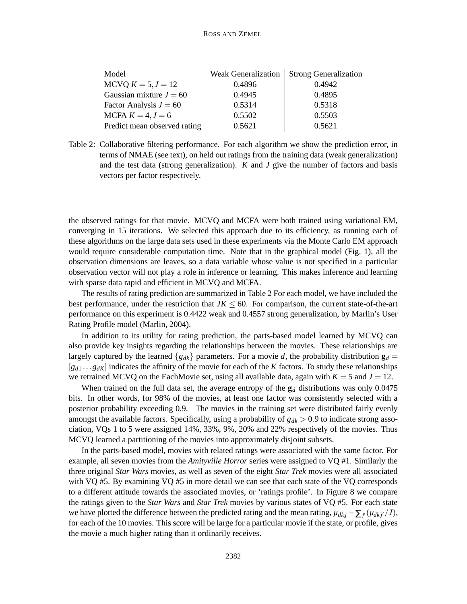| Model                        | <b>Weak Generalization</b> | <b>Strong Generalization</b> |
|------------------------------|----------------------------|------------------------------|
| MCVQ $K = 5, J = 12$         | 0.4896                     | 0.4942                       |
| Gaussian mixture $J = 60$    | 0.4945                     | 0.4895                       |
| Factor Analysis $J = 60$     | 0.5314                     | 0.5318                       |
| MCFA $K = 4, J = 6$          | 0.5502                     | 0.5503                       |
| Predict mean observed rating | 0.5621                     | 0.5621                       |

Table 2: Collaborative filtering performance. For each algorithm we show the prediction error, in terms of NMAE (see text), on held out ratings from the training data (weak generalization) and the test data (strong generalization). *K* and *J* give the number of factors and basis vectors per factor respectively.

the observed ratings for that movie. MCVQ and MCFA were both trained using variational EM, converging in 15 iterations. We selected this approach due to its efficiency, as running each of these algorithms on the large data sets used in these experiments via the Monte Carlo EM approach would require considerable computation time. Note that in the graphical model (Fig. 1), all the observation dimensions are leaves, so a data variable whose value is not specified in a particular observation vector will not play a role in inference or learning. This makes inference and learning with sparse data rapid and efficient in MCVQ and MCFA.

The results of rating prediction are summarized in Table 2 For each model, we have included the best performance, under the restriction that  $JK \leq 60$ . For comparison, the current state-of-the-art performance on this experiment is 0.4422 weak and 0.4557 strong generalization, by Marlin's User Rating Profile model (Marlin, 2004).

In addition to its utility for rating prediction, the parts-based model learned by MCVQ can also provide key insights regarding the relationships between the movies. These relationships are largely captured by the learned  ${g_{dk}}$  parameters. For a movie *d*, the probability distribution  $\mathbf{g}_d =$  $[g_{d1} \dots g_{dK}]$  indicates the affinity of the movie for each of the *K* factors. To study these relationships we retrained MCVQ on the EachMovie set, using all available data, again with  $K = 5$  and  $J = 12$ .

When trained on the full data set, the average entropy of the  $g<sub>d</sub>$  distributions was only 0.0475 bits. In other words, for 98% of the movies, at least one factor was consistently selected with a posterior probability exceeding 0.9. The movies in the training set were distributed fairly evenly amongst the available factors. Specifically, using a probability of  $g_{dk} > 0.9$  to indicate strong association, VQs 1 to 5 were assigned 14%, 33%, 9%, 20% and 22% respectively of the movies. Thus MCVQ learned a partitioning of the movies into approximately disjoint subsets.

In the parts-based model, movies with related ratings were associated with the same factor. For example, all seven movies from the *Amityville Horror* series were assigned to VQ #1. Similarly the three original *Star Wars* movies, as well as seven of the eight *Star Trek* movies were all associated with VQ  $#5$ . By examining VQ  $#5$  in more detail we can see that each state of the VQ corresponds to a different attitude towards the associated movies, or 'ratings profile'. In Figure 8 we compare the ratings given to the *Star Wars* and *Star Trek* movies by various states of VQ #5. For each state we have plotted the difference between the predicted rating and the mean rating,  $\mu_{dkj} - \sum_{j'} (\mu_{dkj'}/J)$ , for each of the 10 movies. This score will be large for a particular movie if the state, or profile, gives the movie a much higher rating than it ordinarily receives.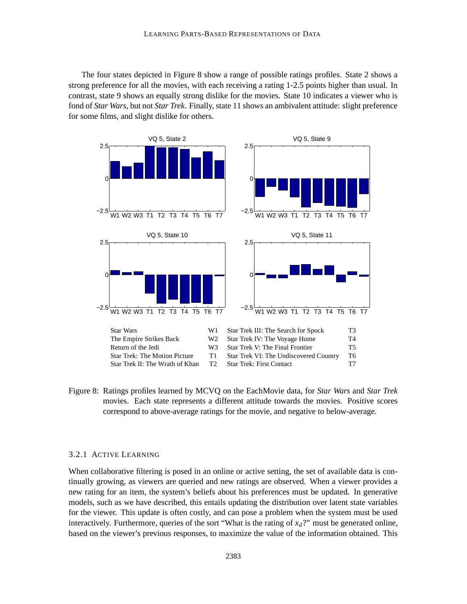The four states depicted in Figure 8 show a range of possible ratings profiles. State 2 shows a strong preference for all the movies, with each receiving a rating 1-2.5 points higher than usual. In contrast, state 9 shows an equally strong dislike for the movies. State 10 indicates a viewer who is fond of *Star Wars*, but not *Star Trek*. Finally, state 11 shows an ambivalent attitude: slight preference for some films, and slight dislike for others.



Figure 8: Ratings profiles learned by MCVQ on the EachMovie data, for *Star Wars* and *Star Trek* movies. Each state represents a different attitude towards the movies. Positive scores correspond to above-average ratings for the movie, and negative to below-average.

## 3.2.1 ACTIVE LEARNING

When collaborative filtering is posed in an online or active setting, the set of available data is continually growing, as viewers are queried and new ratings are observed. When a viewer provides a new rating for an item, the system's beliefs about his preferences must be updated. In generative models, such as we have described, this entails updating the distribution over latent state variables for the viewer. This update is often costly, and can pose a problem when the system must be used interactively. Furthermore, queries of the sort "What is the rating of  $x_d$ ?" must be generated online, based on the viewer's previous responses, to maximize the value of the information obtained. This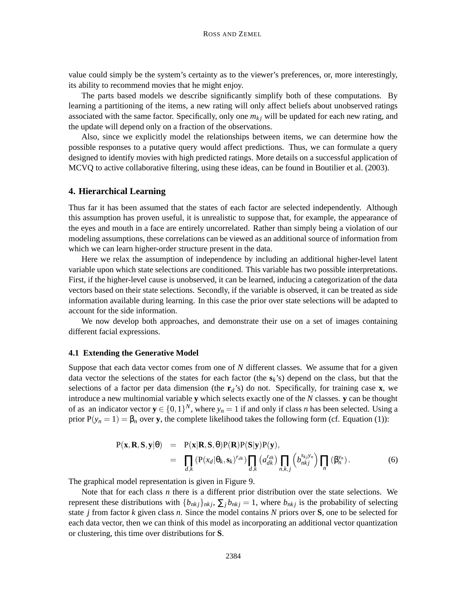value could simply be the system's certainty as to the viewer's preferences, or, more interestingly, its ability to recommend movies that he might enjoy.

The parts based models we describe significantly simplify both of these computations. By learning a partitioning of the items, a new rating will only affect beliefs about unobserved ratings associated with the same factor. Specifically, only one  $m_k$  will be updated for each new rating, and the update will depend only on a fraction of the observations.

Also, since we explicitly model the relationships between items, we can determine how the possible responses to a putative query would affect predictions. Thus, we can formulate a query designed to identify movies with high predicted ratings. More details on a successful application of MCVQ to active collaborative filtering, using these ideas, can be found in Boutilier et al. (2003).

## **4. Hierarchical Learning**

Thus far it has been assumed that the states of each factor are selected independently. Although this assumption has proven useful, it is unrealistic to suppose that, for example, the appearance of the eyes and mouth in a face are entirely uncorrelated. Rather than simply being a violation of our modeling assumptions, these correlations can be viewed as an additional source of information from which we can learn higher-order structure present in the data.

Here we relax the assumption of independence by including an additional higher-level latent variable upon which state selections are conditioned. This variable has two possible interpretations. First, if the higher-level cause is unobserved, it can be learned, inducing a categorization of the data vectors based on their state selections. Secondly, if the variable is observed, it can be treated as side information available during learning. In this case the prior over state selections will be adapted to account for the side information.

We now develop both approaches, and demonstrate their use on a set of images containing different facial expressions.

#### **4.1 Extending the Generative Model**

Suppose that each data vector comes from one of *N* different classes. We assume that for a given data vector the selections of the states for each factor (the **s***k*'s) depend on the class, but that the selections of a factor per data dimension (the  $\mathbf{r}_d$ 's) do not. Specifically, for training case **x**, we introduce a new multinomial variable **y** which selects exactly one of the *N* classes. **y** can be thought of as an indicator vector  $y \in \{0,1\}^N$ , where  $y_n = 1$  if and only if class *n* has been selected. Using a prior  $P(y_n = 1) = \beta_n$  over **y**, the complete likelihood takes the following form (cf. Equation (1)):

$$
P(\mathbf{x}, \mathbf{R}, \mathbf{S}, \mathbf{y} | \theta) = P(\mathbf{x} | \mathbf{R}, \mathbf{S}, \theta) P(\mathbf{R}) P(\mathbf{S} | \mathbf{y}) P(\mathbf{y}),
$$
  
\n
$$
= \prod_{d,k} (P(x_d | \theta_k, \mathbf{s}_k)^{r_{dk}}) \prod_{d,k} (a_{dk}^{r_{dk}}) \prod_{n,k,j} (b_{nkj}^{s_{kj}y_n}) \prod_n (\beta_n^{y_n}).
$$
 (6)

The graphical model representation is given in Figure 9.

Note that for each class *n* there is a different prior distribution over the state selections. We represent these distributions with  $\{b_{nkj}\}_{nk}$ ,  $\sum_j b_{nkj} = 1$ , where  $b_{nkj}$  is the probability of selecting state *j* from factor *k* given class *n*. Since the model contains *N* priors over **S**, one to be selected for each data vector, then we can think of this model as incorporating an additional vector quantization or clustering, this time over distributions for **S**.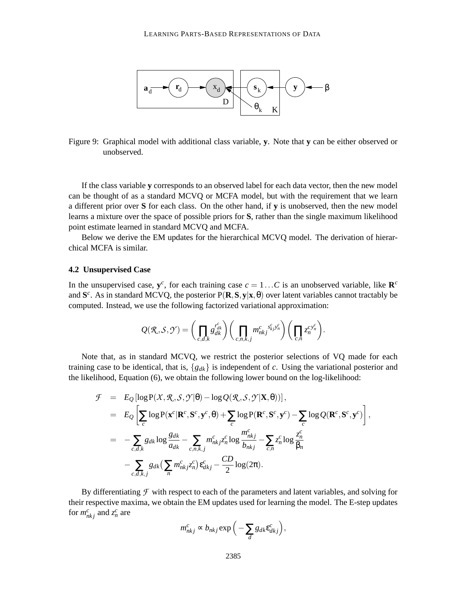

Figure 9: Graphical model with additional class variable, **y**. Note that **y** can be either observed or unobserved.

If the class variable **y** corresponds to an observed label for each data vector, then the new model can be thought of as a standard MCVQ or MCFA model, but with the requirement that we learn a different prior over **S** for each class. On the other hand, if **y** is unobserved, then the new model learns a mixture over the space of possible priors for **S**, rather than the single maximum likelihood point estimate learned in standard MCVQ and MCFA.

Below we derive the EM updates for the hierarchical MCVQ model. The derivation of hierarchical MCFA is similar.

## **4.2 Unsupervised Case**

In the unsupervised case,  $y^c$ , for each training case  $c = 1...C$  is an unobserved variable, like  $\mathbb{R}^c$ and  $S^c$ . As in standard MCVQ, the posterior  $P(R, S, y|x, \theta)$  over latent variables cannot tractably be computed. Instead, we use the following factorized variational approximation:

$$
Q(\mathcal{R},\mathcal{S},\mathcal{Y})=\bigg(\prod_{c,d,k}g_{dk}^{r_{dk}^c}\bigg)\bigg(\prod_{c,n,k,j}m_{nkj}^c{}_{s_{j}^c}^{s_{k}^c}{}^{y_{n}^c}\bigg)\bigg(\prod_{c,n}z_n^{c}{}^{y_{n}^c}\bigg).
$$

Note that, as in standard MCVQ, we restrict the posterior selections of VQ made for each training case to be identical, that is,  ${g_{dk}}$  is independent of *c*. Using the variational posterior and the likelihood, Equation (6), we obtain the following lower bound on the log-likelihood:

$$
\mathcal{F} = E_Q \left[ \log P(X, \mathcal{R}, \mathcal{S}, \mathcal{Y} | \theta) - \log Q(\mathcal{R}, \mathcal{S}, \mathcal{Y} | \mathbf{X}, \theta) ) \right],
$$
  
\n
$$
= E_Q \left[ \sum_c \log P(\mathbf{x}^c | \mathbf{R}^c, \mathbf{S}^c, \mathbf{y}^c, \theta) + \sum_c \log P(\mathbf{R}^c, \mathbf{S}^c, \mathbf{y}^c) - \sum_c \log Q(\mathbf{R}^c, \mathbf{S}^c, \mathbf{y}^c) \right],
$$
  
\n
$$
= - \sum_{c,d,k} g_{dk} \log \frac{g_{dk}}{a_{dk}} - \sum_{c,n,k,j} m_{nkj}^c z_n^c \log \frac{m_{nkj}^c}{b_{nkj}} - \sum_{c,n} z_n^c \log \frac{z_n^c}{\beta_n}
$$
  
\n
$$
- \sum_{c,d,k,j} g_{dk} \left( \sum_n m_{nkj}^c z_n^c \right) \varepsilon_{dkj}^c - \frac{CD}{2} \log(2\pi).
$$

By differentiating  $\mathcal F$  with respect to each of the parameters and latent variables, and solving for their respective maxima, we obtain the EM updates used for learning the model. The E-step updates for  $m_{nkj}^c$  and  $z_n^c$  are

$$
m_{nkj}^c \propto b_{nkj} \exp\left(-\sum_d g_{dk} \varepsilon_{dkj}^c\right),\,
$$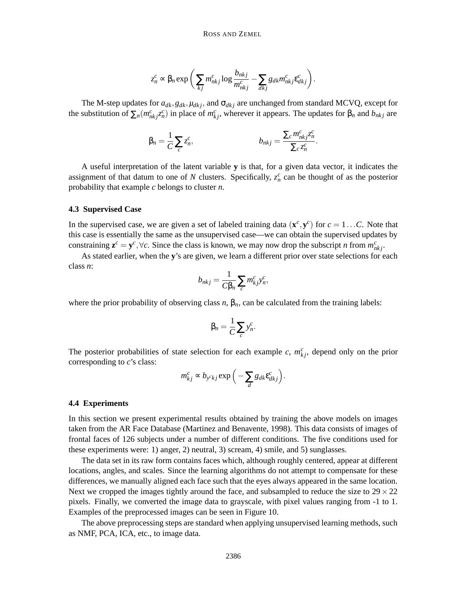$$
z_n^c \propto \beta_n \exp\bigg(\sum_{kj} m_{nkj}^c \log \frac{b_{nkj}}{m_{nkj}^c} - \sum_{dkj} g_{dk} m_{nkj}^c \varepsilon_{dkj}^c\bigg).
$$

The M-step updates for  $a_{dk}, g_{dk}, \mu_{dkj}$ , and  $\sigma_{dkj}$  are unchanged from standard MCVQ, except for the substitution of  $\sum_n (m_{nkj}^c z_n^c)$  in place of  $m_{kj}^c$ , wherever it appears. The updates for  $\beta_n$  and  $b_{nkj}$  are

$$
\beta_n = \frac{1}{C} \sum_c z_n^c, \qquad b_{nkj} = \frac{\sum_c m_{nkj}^c z_n^c}{\sum_c z_n^c}.
$$

A useful interpretation of the latent variable **y** is that, for a given data vector, it indicates the assignment of that datum to one of *N* clusters. Specifically,  $z_n^c$  can be thought of as the posterior probability that example *c* belongs to cluster *n*.

#### **4.3 Supervised Case**

In the supervised case, we are given a set of labeled training data  $(\mathbf{x}^c, \mathbf{y}^c)$  for  $c = 1...C$ . Note that this case is essentially the same as the unsupervised case—we can obtain the supervised updates by constraining  $z^c = y^c$ ,  $\forall c$ . Since the class is known, we may now drop the subscript *n* from  $m_{nkj}^c$ .

As stated earlier, when the **y**'s are given, we learn a different prior over state selections for each class *n*:

$$
b_{nkj} = \frac{1}{C\beta_n} \sum_c m_{kj}^c y_n^c,
$$

where the prior probability of observing class  $n$ ,  $\beta_n$ , can be calculated from the training labels:

$$
\beta_n = \frac{1}{C} \sum_c y_n^c.
$$

The posterior probabilities of state selection for each example  $c$ ,  $m_{kj}^c$ , depend only on the prior corresponding to *c*'s class:

$$
m_{kj}^c \propto b_{y^ckj} \exp\left(-\sum_d g_{dk} \varepsilon_{dkj}^c\right).
$$

#### **4.4 Experiments**

In this section we present experimental results obtained by training the above models on images taken from the AR Face Database (Martinez and Benavente, 1998). This data consists of images of frontal faces of 126 subjects under a number of different conditions. The five conditions used for these experiments were: 1) anger, 2) neutral, 3) scream, 4) smile, and 5) sunglasses.

The data set in its raw form contains faces which, although roughly centered, appear at different locations, angles, and scales. Since the learning algorithms do not attempt to compensate for these differences, we manually aligned each face such that the eyes always appeared in the same location. Next we cropped the images tightly around the face, and subsampled to reduce the size to  $29 \times 22$ pixels. Finally, we converted the image data to grayscale, with pixel values ranging from -1 to 1. Examples of the preprocessed images can be seen in Figure 10.

The above preprocessing steps are standard when applying unsupervised learning methods, such as NMF, PCA, ICA, etc., to image data.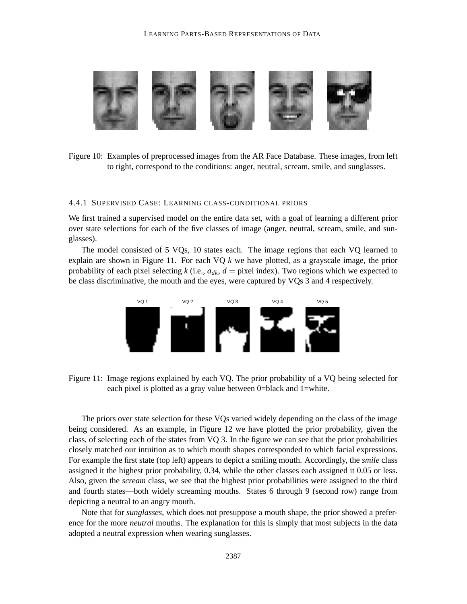

Figure 10: Examples of preprocessed images from the AR Face Database. These images, from left to right, correspond to the conditions: anger, neutral, scream, smile, and sunglasses.

## 4.4.1 SUPERVISED CASE: LEARNING CLASS-CONDITIONAL PRIORS

We first trained a supervised model on the entire data set, with a goal of learning a different prior over state selections for each of the five classes of image (anger, neutral, scream, smile, and sunglasses).

The model consisted of 5 VQs, 10 states each. The image regions that each VQ learned to explain are shown in Figure 11. For each VQ *k* we have plotted, as a grayscale image, the prior probability of each pixel selecting  $k$  (i.e.,  $a_{dk}$ ,  $d =$  pixel index). Two regions which we expected to be class discriminative, the mouth and the eyes, were captured by VQs 3 and 4 respectively.



Figure 11: Image regions explained by each VQ. The prior probability of a VQ being selected for each pixel is plotted as a gray value between 0=black and 1=white.

The priors over state selection for these VQs varied widely depending on the class of the image being considered. As an example, in Figure 12 we have plotted the prior probability, given the class, of selecting each of the states from VQ 3. In the figure we can see that the prior probabilities closely matched our intuition as to which mouth shapes corresponded to which facial expressions. For example the first state (top left) appears to depict a smiling mouth. Accordingly, the *smile* class assigned it the highest prior probability, 0.34, while the other classes each assigned it 0.05 or less. Also, given the *scream* class, we see that the highest prior probabilities were assigned to the third and fourth states—both widely screaming mouths. States 6 through 9 (second row) range from depicting a neutral to an angry mouth.

Note that for *sunglasses*, which does not presuppose a mouth shape, the prior showed a preference for the more *neutral* mouths. The explanation for this is simply that most subjects in the data adopted a neutral expression when wearing sunglasses.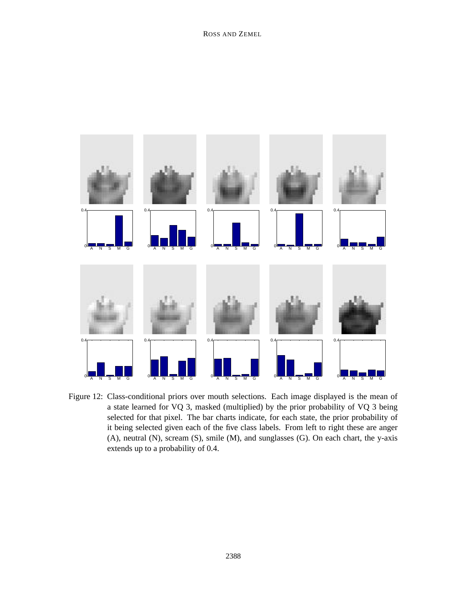

Figure 12: Class-conditional priors over mouth selections. Each image displayed is the mean of a state learned for VQ 3, masked (multiplied) by the prior probability of VQ 3 being selected for that pixel. The bar charts indicate, for each state, the prior probability of it being selected given each of the five class labels. From left to right these are anger (A), neutral (N), scream (S), smile (M), and sunglasses (G). On each chart, the y-axis extends up to a probability of 0.4.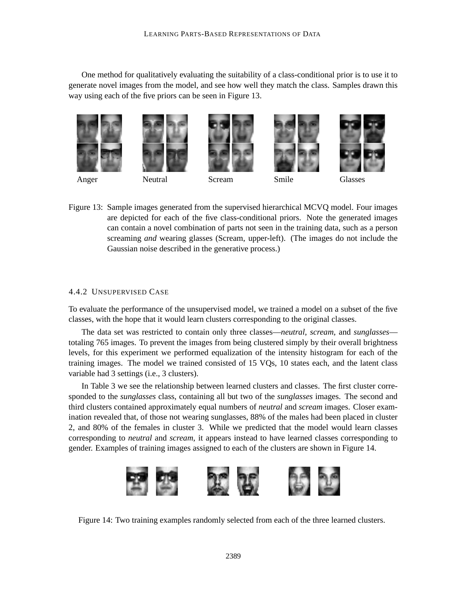One method for qualitatively evaluating the suitability of a class-conditional prior is to use it to generate novel images from the model, and see how well they match the class. Samples drawn this way using each of the five priors can be seen in Figure 13.













Anger Neutral Scream Smile Glasses

Figure 13: Sample images generated from the supervised hierarchical MCVQ model. Four images are depicted for each of the five class-conditional priors. Note the generated images can contain a novel combination of parts not seen in the training data, such as a person screaming *and* wearing glasses (Scream, upper-left). (The images do not include the Gaussian noise described in the generative process.)

# 4.4.2 UNSUPERVISED CASE

To evaluate the performance of the unsupervised model, we trained a model on a subset of the five classes, with the hope that it would learn clusters corresponding to the original classes.

The data set was restricted to contain only three classes—*neutral*, *scream*, and *sunglasses* totaling 765 images. To prevent the images from being clustered simply by their overall brightness levels, for this experiment we performed equalization of the intensity histogram for each of the training images. The model we trained consisted of 15 VQs, 10 states each, and the latent class variable had 3 settings (i.e., 3 clusters).

In Table 3 we see the relationship between learned clusters and classes. The first cluster corresponded to the *sunglasses* class, containing all but two of the *sunglasses* images. The second and third clusters contained approximately equal numbers of *neutral* and *scream* images. Closer examination revealed that, of those not wearing sunglasses, 88% of the males had been placed in cluster 2, and 80% of the females in cluster 3. While we predicted that the model would learn classes corresponding to *neutral* and *scream*, it appears instead to have learned classes corresponding to gender. Examples of training images assigned to each of the clusters are shown in Figure 14.



Figure 14: Two training examples randomly selected from each of the three learned clusters.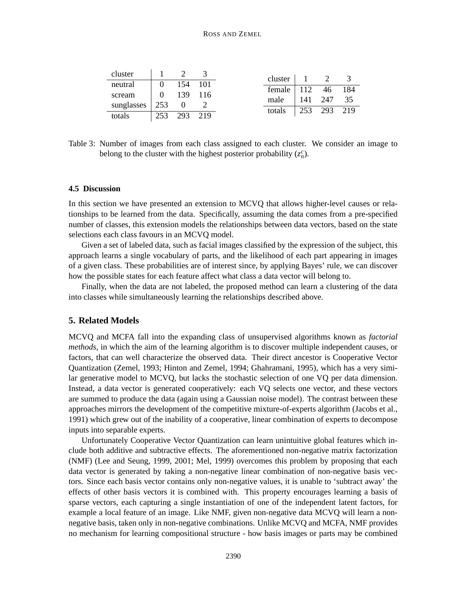| cluster                |                |     |       | cluster $1 \t 2$     |         |     |
|------------------------|----------------|-----|-------|----------------------|---------|-----|
| neutral                | $\theta$       | 154 | 101   |                      |         |     |
|                        |                |     |       | female 112 46 184    |         |     |
| scream                 | $\overline{0}$ | 139 | - 116 |                      |         |     |
|                        |                |     |       | male                 | 141 247 | -35 |
| sunglasses $\vert$ 253 |                |     |       |                      |         |     |
| totals                 | 253            | 293 | 219   | totals   253 293 219 |         |     |
|                        |                |     |       |                      |         |     |

Table 3: Number of images from each class assigned to each cluster. We consider an image to belong to the cluster with the highest posterior probability  $(z_n^c)$ .

# **4.5 Discussion**

In this section we have presented an extension to MCVQ that allows higher-level causes or relationships to be learned from the data. Specifically, assuming the data comes from a pre-specified number of classes, this extension models the relationships between data vectors, based on the state selections each class favours in an MCVQ model.

Given a set of labeled data, such as facial images classified by the expression of the subject, this approach learns a single vocabulary of parts, and the likelihood of each part appearing in images of a given class. These probabilities are of interest since, by applying Bayes' rule, we can discover how the possible states for each feature affect what class a data vector will belong to.

Finally, when the data are not labeled, the proposed method can learn a clustering of the data into classes while simultaneously learning the relationships described above.

## **5. Related Models**

MCVQ and MCFA fall into the expanding class of unsupervised algorithms known as *factorial methods*, in which the aim of the learning algorithm is to discover multiple independent causes, or factors, that can well characterize the observed data. Their direct ancestor is Cooperative Vector Quantization (Zemel, 1993; Hinton and Zemel, 1994; Ghahramani, 1995), which has a very similar generative model to MCVQ, but lacks the stochastic selection of one VQ per data dimension. Instead, a data vector is generated cooperatively: each VQ selects one vector, and these vectors are summed to produce the data (again using a Gaussian noise model). The contrast between these approaches mirrors the development of the competitive mixture-of-experts algorithm (Jacobs et al., 1991) which grew out of the inability of a cooperative, linear combination of experts to decompose inputs into separable experts.

Unfortunately Cooperative Vector Quantization can learn unintuitive global features which include both additive and subtractive effects. The aforementioned non-negative matrix factorization (NMF) (Lee and Seung, 1999, 2001; Mel, 1999) overcomes this problem by proposing that each data vector is generated by taking a non-negative linear combination of non-negative basis vectors. Since each basis vector contains only non-negative values, it is unable to 'subtract away' the effects of other basis vectors it is combined with. This property encourages learning a basis of sparse vectors, each capturing a single instantiation of one of the independent latent factors, for example a local feature of an image. Like NMF, given non-negative data MCVQ will learn a nonnegative basis, taken only in non-negative combinations. Unlike MCVQ and MCFA, NMF provides no mechanism for learning compositional structure - how basis images or parts may be combined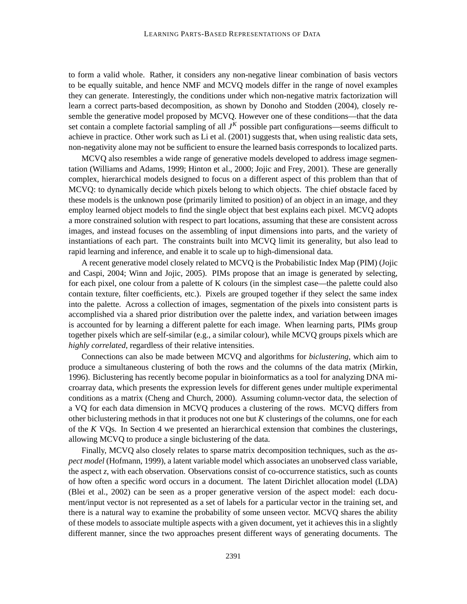to form a valid whole. Rather, it considers any non-negative linear combination of basis vectors to be equally suitable, and hence NMF and MCVQ models differ in the range of novel examples they can generate. Interestingly, the conditions under which non-negative matrix factorization will learn a correct parts-based decomposition, as shown by Donoho and Stodden (2004), closely resemble the generative model proposed by MCVQ. However one of these conditions—that the data set contain a complete factorial sampling of all  $J<sup>K</sup>$  possible part configurations—seems difficult to achieve in practice. Other work such as Li et al. (2001) suggests that, when using realistic data sets, non-negativity alone may not be sufficient to ensure the learned basis corresponds to localized parts.

MCVQ also resembles a wide range of generative models developed to address image segmentation (Williams and Adams, 1999; Hinton et al., 2000; Jojic and Frey, 2001). These are generally complex, hierarchical models designed to focus on a different aspect of this problem than that of MCVQ: to dynamically decide which pixels belong to which objects. The chief obstacle faced by these models is the unknown pose (primarily limited to position) of an object in an image, and they employ learned object models to find the single object that best explains each pixel. MCVQ adopts a more constrained solution with respect to part locations, assuming that these are consistent across images, and instead focuses on the assembling of input dimensions into parts, and the variety of instantiations of each part. The constraints built into MCVQ limit its generality, but also lead to rapid learning and inference, and enable it to scale up to high-dimensional data.

A recent generative model closely related to MCVQ is the Probabilistic Index Map (PIM) (Jojic and Caspi, 2004; Winn and Jojic, 2005). PIMs propose that an image is generated by selecting, for each pixel, one colour from a palette of K colours (in the simplest case—the palette could also contain texture, filter coefficients, etc.). Pixels are grouped together if they select the same index into the palette. Across a collection of images, segmentation of the pixels into consistent parts is accomplished via a shared prior distribution over the palette index, and variation between images is accounted for by learning a different palette for each image. When learning parts, PIMs group together pixels which are self-similar (e.g., a similar colour), while MCVQ groups pixels which are *highly correlated*, regardless of their relative intensities.

Connections can also be made between MCVQ and algorithms for *biclustering*, which aim to produce a simultaneous clustering of both the rows and the columns of the data matrix (Mirkin, 1996). Biclustering has recently become popular in bioinformatics as a tool for analyzing DNA microarray data, which presents the expression levels for different genes under multiple experimental conditions as a matrix (Cheng and Church, 2000). Assuming column-vector data, the selection of a VQ for each data dimension in MCVQ produces a clustering of the rows. MCVQ differs from other biclustering methods in that it produces not one but *K* clusterings of the columns, one for each of the *K* VQs. In Section 4 we presented an hierarchical extension that combines the clusterings, allowing MCVQ to produce a single biclustering of the data.

Finally, MCVQ also closely relates to sparse matrix decomposition techniques, such as the *aspect model* (Hofmann, 1999), a latent variable model which associates an unobserved class variable, the aspect *z*, with each observation. Observations consist of co-occurrence statistics, such as counts of how often a specific word occurs in a document. The latent Dirichlet allocation model (LDA) (Blei et al., 2002) can be seen as a proper generative version of the aspect model: each document/input vector is not represented as a set of labels for a particular vector in the training set, and there is a natural way to examine the probability of some unseen vector. MCVQ shares the ability of these models to associate multiple aspects with a given document, yet it achieves this in a slightly different manner, since the two approaches present different ways of generating documents. The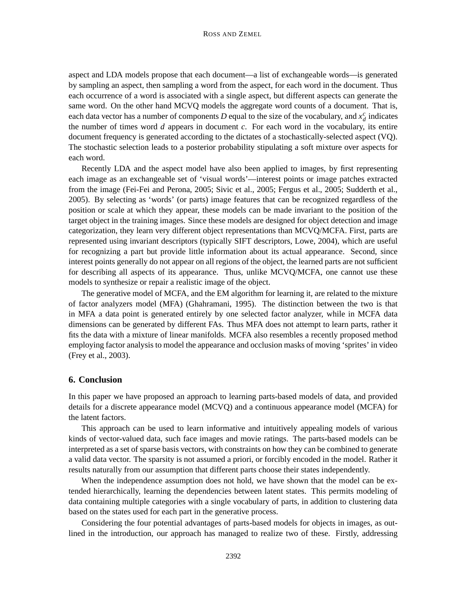aspect and LDA models propose that each document—a list of exchangeable words—is generated by sampling an aspect, then sampling a word from the aspect, for each word in the document. Thus each occurrence of a word is associated with a single aspect, but different aspects can generate the same word. On the other hand MCVQ models the aggregate word counts of a document. That is, each data vector has a number of components *D* equal to the size of the vocabulary, and  $x_d^c$  indicates the number of times word *d* appears in document *c*. For each word in the vocabulary, its entire document frequency is generated according to the dictates of a stochastically-selected aspect (VQ). The stochastic selection leads to a posterior probability stipulating a soft mixture over aspects for each word.

Recently LDA and the aspect model have also been applied to images, by first representing each image as an exchangeable set of 'visual words'—interest points or image patches extracted from the image (Fei-Fei and Perona, 2005; Sivic et al., 2005; Fergus et al., 2005; Sudderth et al., 2005). By selecting as 'words' (or parts) image features that can be recognized regardless of the position or scale at which they appear, these models can be made invariant to the position of the target object in the training images. Since these models are designed for object detection and image categorization, they learn very different object representations than MCVQ/MCFA. First, parts are represented using invariant descriptors (typically SIFT descriptors, Lowe, 2004), which are useful for recognizing a part but provide little information about its actual appearance. Second, since interest points generally do not appear on all regions of the object, the learned parts are not sufficient for describing all aspects of its appearance. Thus, unlike MCVQ/MCFA, one cannot use these models to synthesize or repair a realistic image of the object.

The generative model of MCFA, and the EM algorithm for learning it, are related to the mixture of factor analyzers model (MFA) (Ghahramani, 1995). The distinction between the two is that in MFA a data point is generated entirely by one selected factor analyzer, while in MCFA data dimensions can be generated by different FAs. Thus MFA does not attempt to learn parts, rather it fits the data with a mixture of linear manifolds. MCFA also resembles a recently proposed method employing factor analysis to model the appearance and occlusion masks of moving 'sprites' in video (Frey et al., 2003).

# **6. Conclusion**

In this paper we have proposed an approach to learning parts-based models of data, and provided details for a discrete appearance model (MCVQ) and a continuous appearance model (MCFA) for the latent factors.

This approach can be used to learn informative and intuitively appealing models of various kinds of vector-valued data, such face images and movie ratings. The parts-based models can be interpreted as a set of sparse basis vectors, with constraints on how they can be combined to generate a valid data vector. The sparsity is not assumed a priori, or forcibly encoded in the model. Rather it results naturally from our assumption that different parts choose their states independently.

When the independence assumption does not hold, we have shown that the model can be extended hierarchically, learning the dependencies between latent states. This permits modeling of data containing multiple categories with a single vocabulary of parts, in addition to clustering data based on the states used for each part in the generative process.

Considering the four potential advantages of parts-based models for objects in images, as outlined in the introduction, our approach has managed to realize two of these. Firstly, addressing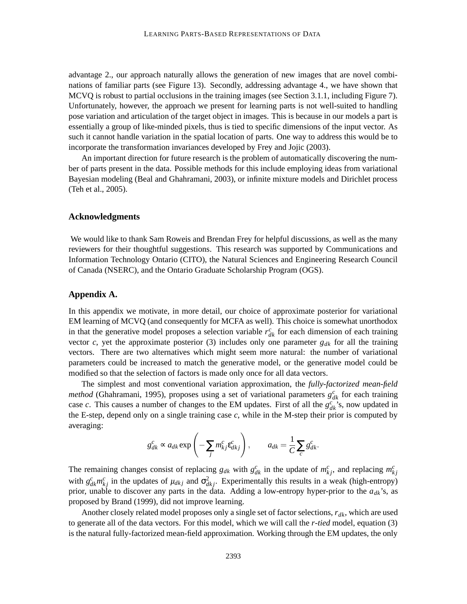advantage 2., our approach naturally allows the generation of new images that are novel combinations of familiar parts (see Figure 13). Secondly, addressing advantage 4., we have shown that MCVQ is robust to partial occlusions in the training images (see Section 3.1.1, including Figure 7). Unfortunately, however, the approach we present for learning parts is not well-suited to handling pose variation and articulation of the target object in images. This is because in our models a part is essentially a group of like-minded pixels, thus is tied to specific dimensions of the input vector. As such it cannot handle variation in the spatial location of parts. One way to address this would be to incorporate the transformation invariances developed by Frey and Jojic (2003).

An important direction for future research is the problem of automatically discovering the number of parts present in the data. Possible methods for this include employing ideas from variational Bayesian modeling (Beal and Ghahramani, 2003), or infinite mixture models and Dirichlet process (Teh et al., 2005).

#### **Acknowledgments**

We would like to thank Sam Roweis and Brendan Frey for helpful discussions, as well as the many reviewers for their thoughtful suggestions. This research was supported by Communications and Information Technology Ontario (CITO), the Natural Sciences and Engineering Research Council of Canada (NSERC), and the Ontario Graduate Scholarship Program (OGS).

# **Appendix A.**

In this appendix we motivate, in more detail, our choice of approximate posterior for variational EM learning of MCVQ (and consequently for MCFA as well). This choice is somewhat unorthodox in that the generative model proposes a selection variable  $r_{dk}^c$  for each dimension of each training vector *c*, yet the approximate posterior (3) includes only one parameter  $g_{dk}$  for all the training vectors. There are two alternatives which might seem more natural: the number of variational parameters could be increased to match the generative model, or the generative model could be modified so that the selection of factors is made only once for all data vectors.

The simplest and most conventional variation approximation, the *fully-factorized mean-field method* (Ghahramani, 1995), proposes using a set of variational parameters  $g_{dk}^c$  for each training case *c*. This causes a number of changes to the EM updates. First of all the  $g_{dk}^{c}$ 's, now updated in the E-step, depend only on a single training case *c*, while in the M-step their prior is computed by averaging:

$$
g_{dk}^c \propto a_{dk} \exp\left(-\sum_j m_{kj}^c \varepsilon_{dkj}^c\right), \qquad a_{dk} = \frac{1}{C} \sum_c g_{dk}^c.
$$

The remaining changes consist of replacing  $g_{dk}$  with  $g_{dk}^c$  in the update of  $m_{kj}^c$ , and replacing  $m_{kj}^c$ with  $g_{dk}^c m_{kj}^c$  in the updates of  $\mu_{dkj}$  and  $\sigma_{dkj}^2$ . Experimentally this results in a weak (high-entropy) prior, unable to discover any parts in the data. Adding a low-entropy hyper-prior to the *adk*'s, as proposed by Brand (1999), did not improve learning.

Another closely related model proposes only a single set of factor selections, *rdk*, which are used to generate all of the data vectors. For this model, which we will call the *r-tied* model, equation (3) is the natural fully-factorized mean-field approximation. Working through the EM updates, the only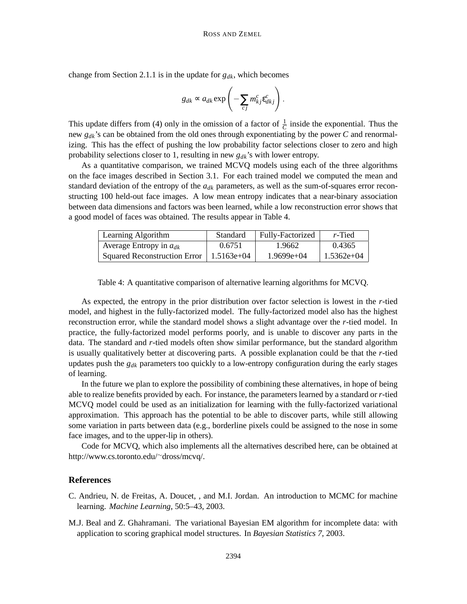change from Section 2.1.1 is in the update for *gdk*, which becomes

$$
g_{dk} \propto a_{dk} \exp\left(-\sum_{cj} m_{kj}^c \varepsilon_{dkj}^c\right).
$$

This update differs from (4) only in the omission of a factor of  $\frac{1}{C}$  inside the exponential. Thus the new *gdk*'s can be obtained from the old ones through exponentiating by the power *C* and renormalizing. This has the effect of pushing the low probability factor selections closer to zero and high probability selections closer to 1, resulting in new *gdk*'s with lower entropy.

As a quantitative comparison, we trained MCVQ models using each of the three algorithms on the face images described in Section 3.1. For each trained model we computed the mean and standard deviation of the entropy of the  $a_{dk}$  parameters, as well as the sum-of-squares error reconstructing 100 held-out face images. A low mean entropy indicates that a near-binary association between data dimensions and factors was been learned, while a low reconstruction error shows that a good model of faces was obtained. The results appear in Table 4.

| Learning Algorithm                  | Standard     | Fully-Factorized | $r$ -Tied    |
|-------------------------------------|--------------|------------------|--------------|
| Average Entropy in $a_{dk}$         | 0.6751       | 1.9662           | 0.4365       |
| <b>Squared Reconstruction Error</b> | $1.5163e+04$ | $1.9699e+04$     | $1.5362e+04$ |

Table 4: A quantitative comparison of alternative learning algorithms for MCVQ.

As expected, the entropy in the prior distribution over factor selection is lowest in the *r*-tied model, and highest in the fully-factorized model. The fully-factorized model also has the highest reconstruction error, while the standard model shows a slight advantage over the *r*-tied model. In practice, the fully-factorized model performs poorly, and is unable to discover any parts in the data. The standard and *r*-tied models often show similar performance, but the standard algorithm is usually qualitatively better at discovering parts. A possible explanation could be that the *r*-tied updates push the *gdk* parameters too quickly to a low-entropy configuration during the early stages of learning.

In the future we plan to explore the possibility of combining these alternatives, in hope of being able to realize benefits provided by each. For instance, the parameters learned by a standard or *r*-tied MCVQ model could be used as an initialization for learning with the fully-factorized variational approximation. This approach has the potential to be able to discover parts, while still allowing some variation in parts between data (e.g., borderline pixels could be assigned to the nose in some face images, and to the upper-lip in others).

Code for MCVQ, which also implements all the alternatives described here, can be obtained at http://www.cs.toronto.edu/∼dross/mcvq/.

## **References**

- C. Andrieu, N. de Freitas, A. Doucet, , and M.I. Jordan. An introduction to MCMC for machine learning. *Machine Learning*, 50:5–43, 2003.
- M.J. Beal and Z. Ghahramani. The variational Bayesian EM algorithm for incomplete data: with application to scoring graphical model structures. In *Bayesian Statistics 7*, 2003.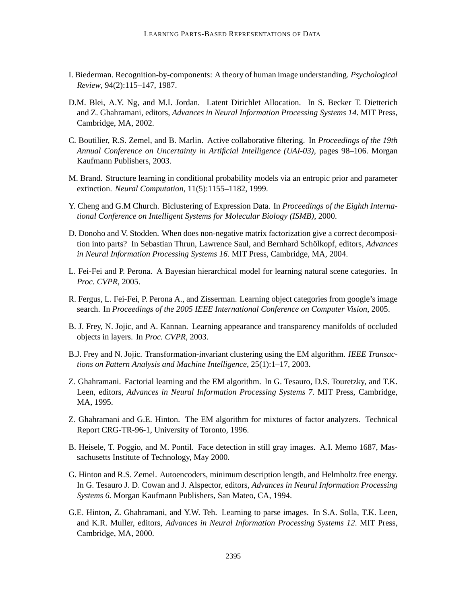- I. Biederman. Recognition-by-components: A theory of human image understanding. *Psychological Review*, 94(2):115–147, 1987.
- D.M. Blei, A.Y. Ng, and M.I. Jordan. Latent Dirichlet Allocation. In S. Becker T. Dietterich and Z. Ghahramani, editors, *Advances in Neural Information Processing Systems 14*. MIT Press, Cambridge, MA, 2002.
- C. Boutilier, R.S. Zemel, and B. Marlin. Active collaborative filtering. In *Proceedings of the 19th Annual Conference on Uncertainty in Artificial Intelligence (UAI-03)*, pages 98–106. Morgan Kaufmann Publishers, 2003.
- M. Brand. Structure learning in conditional probability models via an entropic prior and parameter extinction. *Neural Computation*, 11(5):1155–1182, 1999.
- Y. Cheng and G.M Church. Biclustering of Expression Data. In *Proceedings of the Eighth International Conference on Intelligent Systems for Molecular Biology (ISMB)*, 2000.
- D. Donoho and V. Stodden. When does non-negative matrix factorization give a correct decomposition into parts? In Sebastian Thrun, Lawrence Saul, and Bernhard Schölkopf, editors, *Advances in Neural Information Processing Systems 16*. MIT Press, Cambridge, MA, 2004.
- L. Fei-Fei and P. Perona. A Bayesian hierarchical model for learning natural scene categories. In *Proc. CVPR*, 2005.
- R. Fergus, L. Fei-Fei, P. Perona A., and Zisserman. Learning object categories from google's image search. In *Proceedings of the 2005 IEEE International Conference on Computer Vision*, 2005.
- B. J. Frey, N. Jojic, and A. Kannan. Learning appearance and transparency manifolds of occluded objects in layers. In *Proc. CVPR*, 2003.
- B.J. Frey and N. Jojic. Transformation-invariant clustering using the EM algorithm. *IEEE Transactions on Pattern Analysis and Machine Intelligence*, 25(1):1–17, 2003.
- Z. Ghahramani. Factorial learning and the EM algorithm. In G. Tesauro, D.S. Touretzky, and T.K. Leen, editors, *Advances in Neural Information Processing Systems 7*. MIT Press, Cambridge, MA, 1995.
- Z. Ghahramani and G.E. Hinton. The EM algorithm for mixtures of factor analyzers. Technical Report CRG-TR-96-1, University of Toronto, 1996.
- B. Heisele, T. Poggio, and M. Pontil. Face detection in still gray images. A.I. Memo 1687, Massachusetts Institute of Technology, May 2000.
- G. Hinton and R.S. Zemel. Autoencoders, minimum description length, and Helmholtz free energy. In G. Tesauro J. D. Cowan and J. Alspector, editors, *Advances in Neural Information Processing Systems 6.* Morgan Kaufmann Publishers, San Mateo, CA, 1994.
- G.E. Hinton, Z. Ghahramani, and Y.W. Teh. Learning to parse images. In S.A. Solla, T.K. Leen, and K.R. Muller, editors, *Advances in Neural Information Processing Systems 12*. MIT Press, Cambridge, MA, 2000.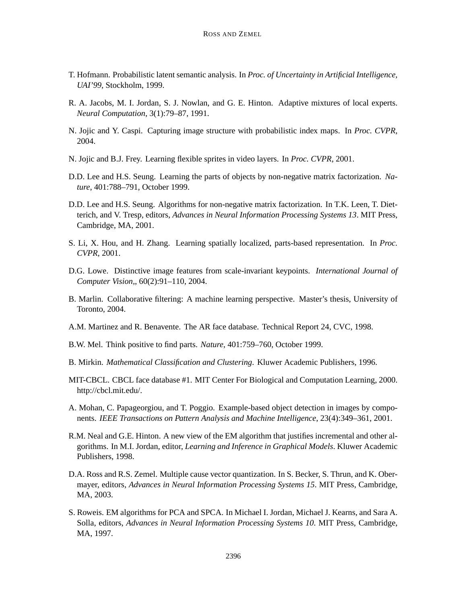- T. Hofmann. Probabilistic latent semantic analysis. In *Proc. of Uncertainty in Artificial Intelligence, UAI'99*, Stockholm, 1999.
- R. A. Jacobs, M. I. Jordan, S. J. Nowlan, and G. E. Hinton. Adaptive mixtures of local experts. *Neural Computation*, 3(1):79–87, 1991.
- N. Jojic and Y. Caspi. Capturing image structure with probabilistic index maps. In *Proc. CVPR*, 2004.
- N. Jojic and B.J. Frey. Learning flexible sprites in video layers. In *Proc. CVPR*, 2001.
- D.D. Lee and H.S. Seung. Learning the parts of objects by non-negative matrix factorization. *Nature*, 401:788–791, October 1999.
- D.D. Lee and H.S. Seung. Algorithms for non-negative matrix factorization. In T.K. Leen, T. Dietterich, and V. Tresp, editors, *Advances in Neural Information Processing Systems 13*. MIT Press, Cambridge, MA, 2001.
- S. Li, X. Hou, and H. Zhang. Learning spatially localized, parts-based representation. In *Proc. CVPR*, 2001.
- D.G. Lowe. Distinctive image features from scale-invariant keypoints. *International Journal of Computer Vision,*, 60(2):91–110, 2004.
- B. Marlin. Collaborative filtering: A machine learning perspective. Master's thesis, University of Toronto, 2004.
- A.M. Martinez and R. Benavente. The AR face database. Technical Report 24, CVC, 1998.
- B.W. Mel. Think positive to find parts. *Nature*, 401:759–760, October 1999.
- B. Mirkin. *Mathematical Classification and Clustering*. Kluwer Academic Publishers, 1996.
- MIT-CBCL. CBCL face database #1. MIT Center For Biological and Computation Learning, 2000. http://cbcl.mit.edu/.
- A. Mohan, C. Papageorgiou, and T. Poggio. Example-based object detection in images by components. *IEEE Transactions on Pattern Analysis and Machine Intelligence*, 23(4):349–361, 2001.
- R.M. Neal and G.E. Hinton. A new view of the EM algorithm that justifies incremental and other algorithms. In M.I. Jordan, editor, *Learning and Inference in Graphical Models*. Kluwer Academic Publishers, 1998.
- D.A. Ross and R.S. Zemel. Multiple cause vector quantization. In S. Becker, S. Thrun, and K. Obermayer, editors, *Advances in Neural Information Processing Systems 15*. MIT Press, Cambridge, MA, 2003.
- S. Roweis. EM algorithms for PCA and SPCA. In Michael I. Jordan, Michael J. Kearns, and Sara A. Solla, editors, *Advances in Neural Information Processing Systems 10*. MIT Press, Cambridge, MA, 1997.